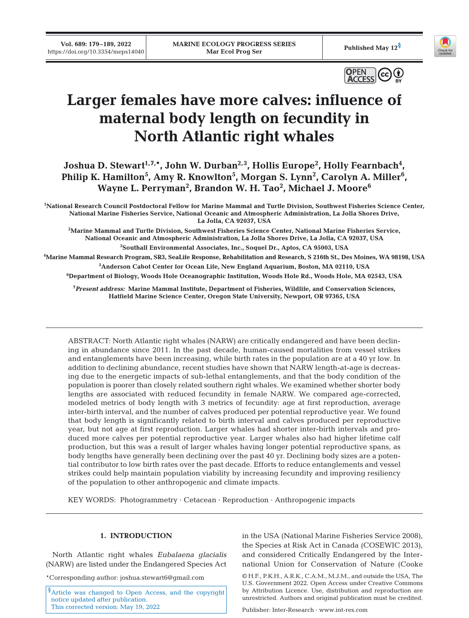



# **Larger females have more calves: influence of maternal body length on fecundity in North Atlantic right whales**

Joshua D. Stewart<sup>1,7,\*</sup>, John W. Durban<sup>2,3</sup>, Hollis Europe<sup>2</sup>, Holly Fearnbach<sup>4</sup>, Philip K. Hamilton<sup>5</sup>, Amy R. Knowlton<sup>5</sup>, Morgan S. Lynn<sup>2</sup>, Carolyn A. Miller<sup>6</sup>, **Wayne L. Perryman2 , Brandon W. H. Tao2 , Michael J. Moore6**

**1 National Research Council Postdoctoral Fellow for Marine Mammal and Turtle Division, Southwest Fisheries Science Center, National Marine Fisheries Service, National Oceanic and Atmospheric Administration, La Jolla Shores Drive, La Jolla, CA 92037, USA** 

**2 Marine Mammal and Turtle Division, Southwest Fisheries Science Center, National Marine Fisheries Service, National Oceanic and Atmospheric Administration, La Jolla Shores Drive, La Jolla, CA 92037, USA 3 Southall Environmental Associates, Inc., Soquel Dr., Aptos, CA 95003, USA** 

**4 Marine Mammal Research Program, SR3, SeaLife Response, Rehabilitation and Research, S 216th St., Des Moines, WA 98198, USA 5 Anderson Cabot Center for Ocean Life, New England Aquarium, Boston, MA 02110, USA** 

**6 Department of Biology, Woods Hole Oceanographic Institution, Woods Hole Rd., Woods Hole, MA 02543, USA** 

**7** *Present address:* **Marine Mammal Institute, Department of Fisheries, Wildlife, and Conservation Sciences, Hatfield Marine Science Center, Oregon State University, Newport, OR 97365, USA**

ABSTRACT: North Atlantic right whales (NARW) are critically endangered and have been declining in abundance since 2011. In the past decade, human-caused mortalities from vessel strikes and entanglements have been increasing, while birth rates in the population are at a 40 yr low. In addition to declining abundance, recent studies have shown that NARW length-at-age is decreasing due to the energetic impacts of sub-lethal entanglements, and that the body condition of the population is poorer than closely related southern right whales. We examined whether shorter body lengths are associated with reduced fecundity in female NARW. We compared age-corrected, modeled metrics of body length with 3 metrics of fecundity: age at first reproduction, average inter-birth interval, and the number of calves produced per potential reproductive year. We found that body length is significantly related to birth interval and calves produced per reproductive year, but not age at first reproduction. Larger whales had shorter inter-birth intervals and produced more calves per potential reproductive year. Larger whales also had higher lifetime calf production, but this was a result of larger whales having longer potential reproductive spans, as body lengths have generally been declining over the past 40 yr. Declining body sizes are a potential contributor to low birth rates over the past decade. Efforts to reduce entanglements and vessel strikes could help maintain population viability by increasing fecundity and improving resiliency of the population to other anthropogenic and climate impacts.

KEY WORDS: Photogrammetry · Cetacean · Reproduction · Anthropogenic impacts

## **1. INTRODUCTION**

North Atlantic right whales *Eubalaena glacialis* (NARW) are listed under the Endangered Species Act

\*Corresponding author: joshua.stewart6@gmail.com

<sup>§</sup>Article was changed to Open Access, and the copyright notice updated after publication. This corrected version: May 19, 2022

in the USA (National Marine Fisheries Service 2008), the Species at Risk Act in Canada (COSEWIC 2013), and considered Critically Endangered by the International Union for Conservation of Nature (Cooke

© H.F., P.K.H., A.R.K., C.A.M., M.J.M., and outside the USA, The U.S. Government 2022. Open Access under Creative Commons by Attribution Licence. Use, distribution and reproduction are unrestricted. Authors and original publication must be credited.

Publisher: Inter-Research · www.int-res.com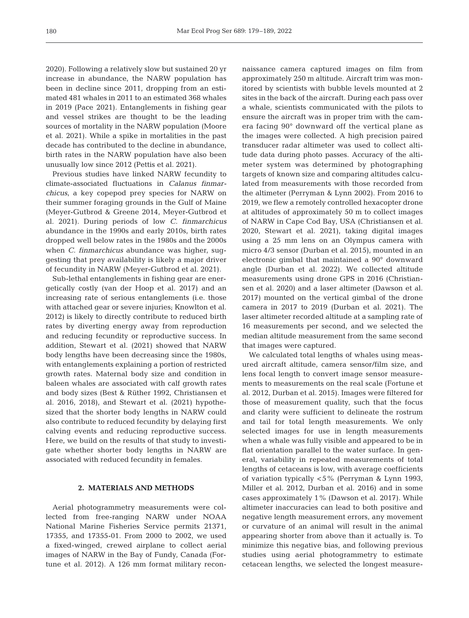2020). Following a relatively slow but sustained 20 yr increase in abundance, the NARW population has been in decline since 2011, dropping from an estimated 481 whales in 2011 to an estimated 368 whales in 2019 (Pace 2021). Entanglements in fishing gear and vessel strikes are thought to be the leading sources of mortality in the NARW population (Moore et al. 2021). While a spike in mortalities in the past decade has contributed to the decline in abundance, birth rates in the NARW population have also been unusually low since 2012 (Pettis et al. 2021).

Previous studies have linked NARW fecundity to climate-associated fluctuations in *Calanus finmar chicus*, a key copepod prey species for NARW on their summer foraging grounds in the Gulf of Maine (Meyer-Gutbrod & Greene 2014, Meyer-Gutbrod et al. 2021). During periods of low *C. finmarchicus* abundance in the 1990s and early 2010s, birth rates dropped well below rates in the 1980s and the 2000s when *C. finmarchicus* abundance was higher, suggesting that prey availability is likely a major driver of fecundity in NARW (Meyer-Gutbrod et al. 2021).

Sub-lethal entanglements in fishing gear are energetically costly (van der Hoop et al. 2017) and an increasing rate of serious entanglements (i.e. those with attached gear or severe injuries; Knowlton et al. 2012) is likely to directly contribute to reduced birth rates by diverting energy away from reproduction and reducing fecundity or reproductive success. In addition, Stewart et al. (2021) showed that NARW body lengths have been decreasing since the 1980s, with entanglements explaining a portion of restricted growth rates. Maternal body size and condition in baleen whales are associated with calf growth rates and body sizes (Best & Rüther 1992, Christiansen et al. 2016, 2018), and Stewart et al. (2021) hypothesized that the shorter body lengths in NARW could also contribute to reduced fecundity by delaying first calving events and reducing reproductive success. Here, we build on the results of that study to investigate whether shorter body lengths in NARW are associated with reduced fecundity in females.

## **2. MATERIALS AND METHODS**

Aerial photogrammetry measurements were collected from free-ranging NARW under NOAA National Marine Fisheries Service permits 21371, 17355, and 17355-01. From 2000 to 2002, we used a fixed-winged, crewed airplane to collect aerial images of NARW in the Bay of Fundy, Canada (Fortune et al. 2012). A 126 mm format military reconnaissance camera captured images on film from approximately 250 m altitude. Aircraft trim was monitored by scientists with bubble levels mounted at 2 sites in the back of the aircraft. During each pass over a whale, scientists communicated with the pilots to ensure the aircraft was in proper trim with the camera facing 90° downward off the vertical plane as the images were collected. A high precision paired transducer radar altimeter was used to collect altitude data during photo passes. Accuracy of the altimeter system was determined by photographing targets of known size and comparing altitudes calculated from measurements with those recorded from the altimeter (Perryman & Lynn 2002). From 2016 to 2019, we flew a remotely controlled hexacopter drone at altitudes of approximately 50 m to collect images of NARW in Cape Cod Bay, USA (Christiansen et al. 2020, Stewart et al. 2021), taking digital images using a 25 mm lens on an Olympus camera with micro 4/3 sensor (Durban et al. 2015), mounted in an electronic gimbal that maintained a 90° downward angle (Durban et al. 2022). We collected altitude measurements using drone GPS in 2016 (Christian sen et al. 2020) and a laser altimeter (Dawson et al. 2017) mounted on the vertical gimbal of the drone camera in 2017 to 2019 (Durban et al. 2021). The laser altimeter recorded altitude at a sampling rate of 16 measurements per second, and we selected the median altitude measurement from the same second that images were captured.

We calculated total lengths of whales using measured aircraft altitude, camera sensor/film size, and lens focal length to convert image sensor measurements to measurements on the real scale (Fortune et al. 2012, Durban et al. 2015). Images were filtered for those of measurement quality, such that the focus and clarity were sufficient to delineate the rostrum and tail for total length measurements. We only selected images for use in length measurements when a whale was fully visible and appeared to be in flat orientation parallel to the water surface. In general, variability in repeated measurements of total lengths of cetaceans is low, with average coefficients of variation typically <5% (Perryman & Lynn 1993, Miller et al. 2012, Durban et al. 2016) and in some cases approximately 1% (Dawson et al. 2017). While altimeter inaccuracies can lead to both positive and negative length measurement errors, any movement or curvature of an animal will result in the animal appearing shorter from above than it actually is. To minimize this negative bias, and following previous studies using aerial photogrammetry to estimate cetacean lengths, we selected the longest measure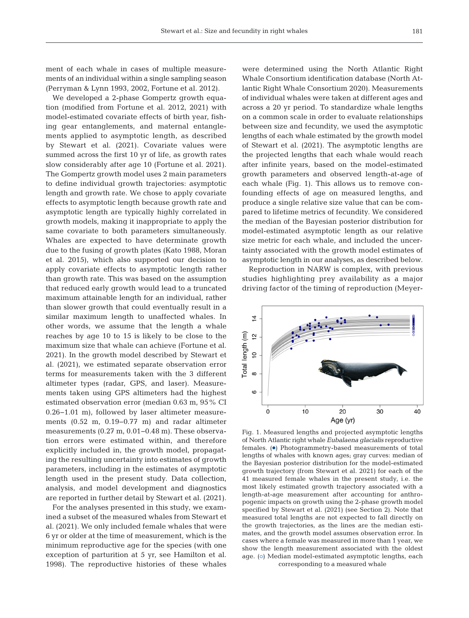ment of each whale in cases of multiple measurements of an individual within a single sampling season (Perryman & Lynn 1993, 2002, Fortune et al. 2012).

We developed a 2-phase Gompertz growth equation (modified from Fortune et al. 2012, 2021) with model-estimated covariate effects of birth year, fishing gear entanglements, and maternal entanglements applied to asymptotic length, as described by Stewart et al. (2021). Covariate values were summed across the first 10 yr of life, as growth rates slow considerably after age 10 (Fortune et al. 2021). The Gompertz growth model uses 2 main parameters to define individual growth trajectories: asymptotic length and growth rate. We chose to apply covariate effects to asymptotic length because growth rate and asymptotic length are typically highly correlated in growth models, making it inappropriate to apply the same covariate to both parameters simultaneously. Whales are expected to have determinate growth due to the fusing of growth plates (Kato 1988, Moran et al. 2015), which also supported our decision to apply covariate effects to asymptotic length rather than growth rate. This was based on the assumption that reduced early growth would lead to a truncated maximum attainable length for an individual, rather than slower growth that could eventually result in a similar maximum length to unaffected whales. In other words, we assume that the length a whale reaches by age 10 to 15 is likely to be close to the maximum size that whale can achieve (Fortune et al. 2021). In the growth model described by Stewart et al. (2021), we estimated separate observation error terms for measurements taken with the 3 different altimeter types (radar, GPS, and laser). Measurements taken using GPS altimeters had the highest estimated observation error (median 0.63 m, 95% CI 0.26−1.01 m), followed by laser altimeter measurements (0.52 m, 0.19−0.77 m) and radar altimeter measurements (0.27 m, 0.01−0.48 m). These observation errors were estimated within, and therefore explicitly included in, the growth model, propagating the resulting uncertainty into estimates of growth parameters, including in the estimates of asymptotic length used in the present study. Data collection, analysis, and model development and diagnostics are reported in further detail by Stewart et al. (2021).

For the analyses presented in this study, we examined a subset of the measured whales from Stewart et al. (2021). We only included female whales that were 6 yr or older at the time of measurement, which is the minimum reproductive age for the species (with one exception of parturition at 5 yr, see Hamilton et al. 1998). The reproductive histories of these whales were determined using the North Atlantic Right Whale Consortium identification database (North At lantic Right Whale Consortium 2020). Measurements of individual whales were taken at different ages and across a 20 yr period. To standardize whale lengths on a common scale in order to evaluate relationships between size and fecundity, we used the asymptotic lengths of each whale estimated by the growth model of Stewart et al. (2021). The asymptotic lengths are the projected lengths that each whale would reach after infinite years, based on the model-estimated growth parameters and observed length-at-age of each whale (Fig. 1). This allows us to remove confounding effects of age on measured lengths, and produce a single relative size value that can be compared to lifetime metrics of fecundity. We considered the median of the Bayesian posterior distribution for model-estimated asymptotic length as our relative size metric for each whale, and included the uncertainty associated with the growth model estimates of asymptotic length in our analyses, as described below.

Reproduction in NARW is complex, with previous studies highlighting prey availability as a major driving factor of the timing of reproduction (Meyer-



Fig. 1. Measured lengths and projected asymptotic lengths of North Atlantic right whale *Eubalaena glacialis* reproductive females. (.) Photogrammetry-based measurements of total lengths of whales with known ages; gray curves: median of the Bayesian posterior distribution for the model-estimated growth trajectory (from Stewart et al. 2021) for each of the 41 measured female whales in the present study, i.e. the most likely estimated growth trajectory associated with a length-at-age measurement after accounting for anthropogenic impacts on growth using the 2-phase growth model specified by Stewart et al. (2021) (see Section 2). Note that measured total lengths are not expected to fall directly on the growth trajectories, as the lines are the median estimates, and the growth model assumes observation error. In cases where a female was measured in more than 1 year, we show the length measurement associated with the oldest age. (o) Median model-estimated asymptotic lengths, each corresponding to a measured whale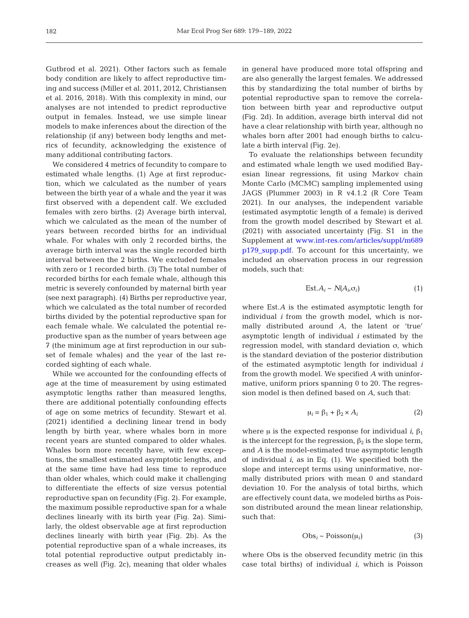Gutbrod et al. 2021). Other factors such as female body condition are likely to affect reproductive timing and success (Miller et al. 2011, 2012, Christiansen et al. 2016, 2018). With this complexity in mind, our analyses are not intended to predict reproductive output in females. Instead, we use simple linear models to make inferences about the direction of the relationship (if any) between body lengths and metrics of fecundity, acknowledging the existence of many additional contributing factors.

We considered 4 metrics of fecundity to compare to estimated whale lengths. (1) Age at first reproduction, which we calculated as the number of years between the birth year of a whale and the year it was first observed with a dependent calf. We excluded females with zero births. (2) Average birth interval, which we calculated as the mean of the number of years between recorded births for an individual whale. For whales with only 2 recorded births, the average birth interval was the single recorded birth interval between the 2 births. We excluded females with zero or 1 recorded birth. (3) The total number of recorded births for each female whale, although this metric is severely confounded by maternal birth year (see next paragraph). (4) Births per reproductive year, which we calculated as the total number of recorded births divided by the potential reproductive span for each female whale. We calculated the potential reproductive span as the number of years between age 7 (the minimum age at first reproduction in our subset of female whales) and the year of the last recorded sighting of each whale.

While we accounted for the confounding effects of age at the time of measurement by using estimated asymptotic lengths rather than measured lengths, there are additional potentially confounding effects of age on some metrics of fecundity. Stewart et al. (2021) identified a declining linear trend in body length by birth year, where whales born in more recent years are stunted compared to older whales. Whales born more recently have, with few exceptions, the smallest estimated asymptotic lengths, and at the same time have had less time to reproduce than older whales, which could make it challenging to differentiate the effects of size versus potential reproductive span on fecundity (Fig. 2). For example, the maximum possible reproductive span for a whale declines linearly with its birth year (Fig. 2a). Similarly, the oldest observable age at first reproduction declines linearly with birth year (Fig. 2b). As the potential reproductive span of a whale increases, its total potential reproductive output predictably increases as well (Fig. 2c), meaning that older whales

in general have produced more total offspring and are also generally the largest females. We addressed this by standardizing the total number of births by potential reproductive span to remove the correlation between birth year and reproductive output (Fig. 2d). In addition, average birth interval did not have a clear relationship with birth year, although no whales born after 2001 had enough births to calculate a birth interval (Fig. 2e).

To evaluate the relationships between fecundity and estimated whale length we used modified Bayesian linear regressions, fit using Markov chain Monte Carlo (MCMC) sampling implemented using JAGS (Plummer 2003) in R v4.1.2 (R Core Team 2021). In our analyses, the independent variable (estimated asymptotic length of a female) is derived from the growth model described by Stewart et al. (2021) with associated uncertainty (Fig. S1 in the Supplement at [www.int-res.com/articles/suppl/m689](https://www.int-res.com/articles/suppl/m689p179_supp.pdf) [p179\\_supp.pdf.](https://www.int-res.com/articles/suppl/m689p179_supp.pdf) To account for this uncertainty, we included an observation process in our regression models, such that:

$$
Est. A_i \sim N(A_i, \sigma_i)
$$
 (1)

where Est*.A* is the estimated asymptotic length for individual *i* from the growth model, which is normally distributed around *A*, the latent or 'true' asymptotic length of individual *i* estimated by the regression model, with standard deviation σ, which is the standard deviation of the posterior distribution of the estimated asymptotic length for individual *i* from the growth model. We specified *A* with uninformative, uniform priors spanning 0 to 20. The regression model is then defined based on *A*, such that:

$$
\mu_i = \beta_1 + \beta_2 \times A_i \tag{2}
$$

where  $\mu$  is the expected response for individual *i*,  $\beta_1$ is the intercept for the regression,  $\beta_2$  is the slope term, and *A* is the model-estimated true asymptotic length of individual *i*, as in Eq. (1). We specified both the slope and intercept terms using uninformative, normally distributed priors with mean 0 and standard deviation 10. For the analysis of total births, which are effectively count data, we modeled births as Poisson distributed around the mean linear relationship, such that:

$$
Obs_i \sim Poisson(\mu_i) \tag{3}
$$

where Obs is the observed fecundity metric (in this case total births) of individual *i*, which is Poisson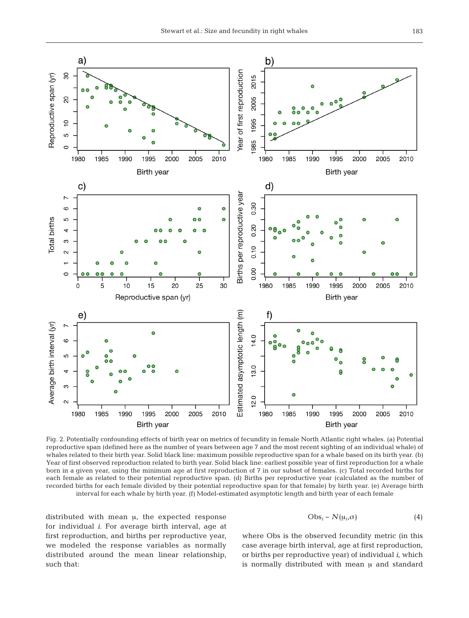

Fig. 2. Potentially confounding effects of birth year on metrics of fecundity in female North Atlantic right whales. (a) Potential reproductive span (defined here as the number of years between age 7 and the most recent sighting of an individual whale) of whales related to their birth year. Solid black line: maximum possible reproductive span for a whale based on its birth year. (b) Year of first observed reproduction related to birth year. Solid black line: earliest possible year of first reproduction for a whale born in a given year, using the minimum age at first reproduction of 7 in our subset of females. (c) Total recorded births for each female as related to their potential reproductive span. (d) Births per reproductive year (calculated as the number of recorded births for each female divided by their potential reproductive span for that female) by birth year. (e) Average birth interval for each whale by birth year. (f) Model-estimated asymptotic length and birth year of each female

distributed with mean μ, the expected response for individual *i.* For average birth interval, age at first reproduction, and births per reproductive year, we modeled the response variables as normally distributed around the mean linear relationship, such that:

$$
Obs_i \sim N(\mu_i, \sigma) \tag{4}
$$

where Obs is the observed fecundity metric (in this case average birth interval, age at first reproduction, or births per reproductive year) of individual *i*, which is normally distributed with mean μ and standard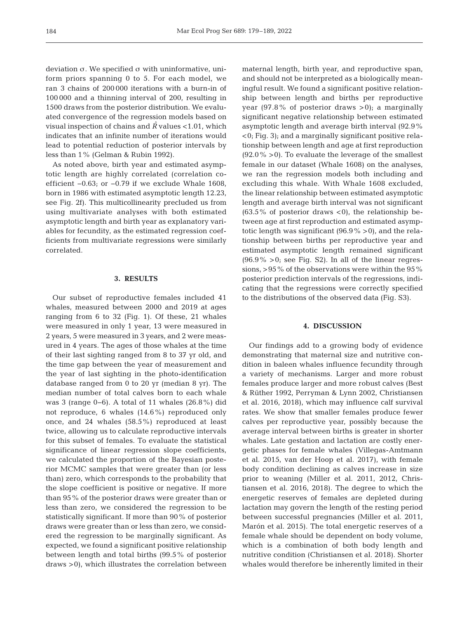deviation σ. We specified σ with uninformative, uniform priors spanning 0 to 5. For each model, we ran 3 chains of 200 000 iterations with a burn-in of 100 000 and a thinning interval of 200, resulting in 1500 draws from the posterior distribution. We evaluated convergence of the regression models based on visual inspection of chains and  $\hat{R}$  values <1.01, which indicates that an infinite number of iterations would lead to potential reduction of posterior intervals by less than 1% (Gelman & Rubin 1992).

As noted above, birth year and estimated asymptotic length are highly correlated (correlation coefficient −0.63; or −0.79 if we exclude Whale 1608, born in 1986 with estimated asymptotic length 12.23, see Fig. 2f). This multicollinearity precluded us from using multivariate analyses with both estimated asymptotic length and birth year as explanatory variables for fecundity, as the estimated regression coefficients from multivariate regressions were similarly correlated.

#### **3. RESULTS**

Our subset of reproductive females included 41 whales, measured between 2000 and 2019 at ages ranging from 6 to 32 (Fig. 1). Of these, 21 whales were measured in only 1 year, 13 were measured in 2 years, 5 were measured in 3 years, and 2 were measured in 4 years. The ages of those whales at the time of their last sighting ranged from 8 to 37 yr old, and the time gap between the year of measurement and the year of last sighting in the photo-identification database ranged from 0 to 20 yr (median 8 yr). The median number of total calves born to each whale was 3 (range 0−6). A total of 11 whales (26.8%) did not reproduce, 6 whales (14.6%) reproduced only once, and 24 whales (58.5%) reproduced at least twice, allowing us to calculate reproductive intervals for this subset of females. To evaluate the statistical significance of linear regression slope coefficients, we calculated the proportion of the Bayesian posterior MCMC samples that were greater than (or less than) zero, which corresponds to the probability that the slope coefficient is positive or negative. If more than 95% of the posterior draws were greater than or less than zero, we considered the regression to be statistically significant. If more than 90% of posterior draws were greater than or less than zero, we considered the regression to be marginally significant. As expected, we found a significant positive relationship between length and total births (99.5% of posterior draws >0), which illustrates the correlation between maternal length, birth year, and reproductive span, and should not be interpreted as a biologically meaningful result. We found a significant positive relationship between length and births per reproductive year  $(97.8\%$  of posterior draws  $>0$ ); a marginally significant negative relationship between estimated asymptotic length and average birth interval (92.9% <0; Fig. 3); and a marginally significant positive relationship between length and age at first reproduction  $(92.0\% > 0)$ . To evaluate the leverage of the smallest female in our dataset (Whale 1608) on the analyses, we ran the regression models both including and excluding this whale. With Whale 1608 excluded, the linear relationship between estimated asymptotic length and average birth interval was not significant  $(63.5\%$  of posterior draws <0), the relationship between age at first reproduction and estimated asymptotic length was significant  $(96.9\% > 0)$ , and the relationship between births per reproductive year and estimated asymptotic length remained significant  $(96.9\% > 0;$  see Fig. S2). In all of the linear regressions, >95% of the observations were within the 95% posterior prediction intervals of the regressions, indicating that the regressions were correctly specified to the distributions of the observed data (Fig. S3).

### **4. DISCUSSION**

Our findings add to a growing body of evidence demonstrating that maternal size and nutritive condition in baleen whales influence fecundity through a variety of mechanisms. Larger and more robust females produce larger and more robust calves (Best & Rüther 1992, Perryman & Lynn 2002, Christiansen et al. 2016, 2018), which may influence calf survival rates. We show that smaller females produce fewer calves per reproductive year, possibly because the average interval between births is greater in shorter whales. Late gestation and lactation are costly energetic phases for female whales (Villegas-Amtmann et al. 2015, van der Hoop et al. 2017), with female body condition declining as calves increase in size prior to weaning (Miller et al. 2011, 2012, Christiansen et al. 2016, 2018). The degree to which the energetic reserves of females are depleted during lactation may govern the length of the resting period between successful pregnancies (Miller et al. 2011, Marón et al. 2015). The total energetic reserves of a female whale should be dependent on body volume, which is a combination of both body length and nutritive condition (Christiansen et al. 2018). Shorter whales would therefore be inherently limited in their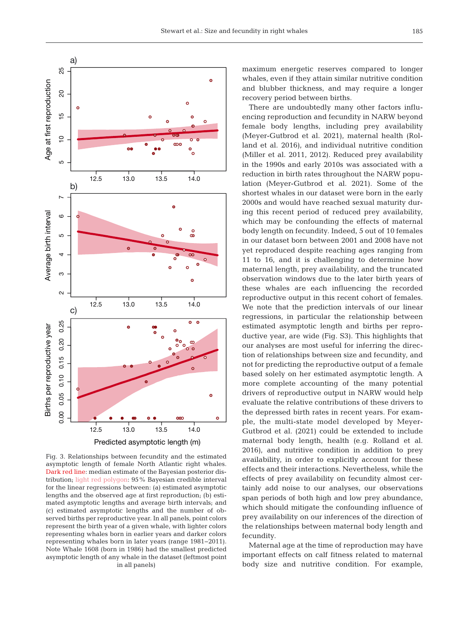



Fig. 3. Relationships between fecundity and the estimated asymptotic length of female North Atlantic right whales. Dark red line: median estimate of the Bayesian posterior distribution; light red polygon: 95% Bayesian credible interval for the linear regressions between: (a) estimated asymptotic lengths and the observed age at first reproduction; (b) estimated asymptotic lengths and average birth intervals; and (c) estimated asymptotic lengths and the number of observed births per reproductive year. In all panels, point colors represent the birth year of a given whale, with lighter colors representing whales born in earlier years and darker colors representing whales born in later years (range 1981−2011). Note Whale 1608 (born in 1986) had the smallest predicted asymptotic length of any whale in the dataset (leftmost point in all panels)

maximum energetic reserves compared to longer whales, even if they attain similar nutritive condition and blubber thickness, and may require a longer recovery period between births.

There are undoubtedly many other factors influencing reproduction and fecundity in NARW beyond female body lengths, including prey availability (Meyer-Gutbrod et al. 2021), maternal health (Rolland et al. 2016), and individual nutritive condition (Miller et al. 2011, 2012). Reduced prey availability in the 1990s and early 2010s was associated with a reduction in birth rates throughout the NARW population (Meyer-Gutbrod et al. 2021). Some of the shortest whales in our dataset were born in the early 2000s and would have reached sexual maturity during this recent period of reduced prey availability, which may be confounding the effects of maternal body length on fecundity. Indeed, 5 out of 10 females in our dataset born between 2001 and 2008 have not yet reproduced despite reaching ages ranging from 11 to 16, and it is challenging to determine how maternal length, prey availability, and the truncated observation windows due to the later birth years of these whales are each influencing the recorded reproductive output in this recent cohort of females. We note that the prediction intervals of our linear regressions, in particular the relationship between estimated asymptotic length and births per reproductive year, are wide (Fig. S3). This highlights that our analyses are most useful for inferring the direction of relationships between size and fecundity, and not for predicting the reproductive output of a female based solely on her estimated asymptotic length. A more complete accounting of the many potential drivers of reproductive output in NARW would help evaluate the relative contributions of these drivers to the depressed birth rates in recent years. For example, the multi-state model developed by Meyer-Gutbrod et al. (2021) could be extended to include maternal body length, health (e.g. Rolland et al. 2016), and nutritive condition in addition to prey availability, in order to explicitly account for these effects and their interactions. Nevertheless, while the effects of prey availability on fecundity almost certainly add noise to our analyses, our observations span periods of both high and low prey abundance, which should mitigate the confounding influence of prey availability on our inferences of the direction of the relationships between maternal body length and fecundity.

Maternal age at the time of reproduction may have important effects on calf fitness related to maternal body size and nutritive condition. For example,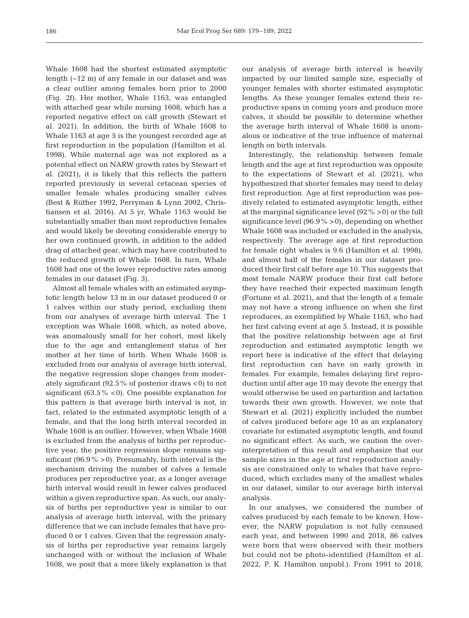Whale 1608 had the shortest estimated asymptotic length (~12 m) of any female in our dataset and was a clear outlier among females born prior to 2000 (Fig. 2f). Her mother, Whale 1163, was entangled with attached gear while nursing 1608, which has a reported negative effect on calf growth (Stewart et al. 2021). In addition, the birth of Whale 1608 to Whale 1163 at age 5 is the youngest recorded age at first reproduction in the population (Hamilton et al. 1998). While maternal age was not explored as a potential effect on NARW growth rates by Stewart et al. (2021), it is likely that this reflects the pattern reported previously in several cetacean species of smaller female whales producing smaller calves (Best & Rüther 1992, Perryman & Lynn 2002, Christiansen et al. 2016). At 5 yr, Whale 1163 would be substantially smaller than most reproductive females and would likely be devoting considerable energy to her own continued growth, in addition to the added drag of attached gear, which may have contributed to the reduced growth of Whale 1608. In turn, Whale 1608 had one of the lower reproductive rates among females in our dataset (Fig. 3).

Almost all female whales with an estimated asymptotic length below 13 m in our dataset produced 0 or 1 calves within our study period, excluding them from our analyses of average birth interval. The 1 exception was Whale 1608, which, as noted above, was anomalously small for her cohort, most likely due to the age and entanglement status of her mother at her time of birth. When Whale 1608 is excluded from our analysis of average birth interval, the negative regression slope changes from moderately significant (92.5% of posterior draws  $<$ 0) to not significant (63.5%  $\lt 0$ ). One possible explanation for this pattern is that average birth interval is not, in fact, related to the estimated asymptotic length of a female, and that the long birth interval recorded in Whale 1608 is an outlier. However, when Whale 1608 is excluded from the analysis of births per reproductive year, the positive regression slope remains significant (96.9% >0). Presumably, birth interval is the mechanism driving the number of calves a female produces per reproductive year, as a longer average birth interval would result in fewer calves produced within a given reproductive span. As such, our analysis of births per reproductive year is similar to our analysis of average birth interval, with the primary difference that we can include females that have produced 0 or 1 calves. Given that the regression analysis of births per reproductive year remains largely unchanged with or without the inclusion of Whale 1608, we posit that a more likely explanation is that our analysis of average birth interval is heavily impacted by our limited sample size, especially of younger females with shorter estimated asymptotic lengths. As these younger females extend their reproductive spans in coming years and produce more calves, it should be possible to determine whether the average birth interval of Whale 1608 is anomalous or indicative of the true influence of maternal length on birth intervals.

Interestingly, the relationship between female length and the age at first reproduction was opposite to the expectations of Stewart et al. (2021), who hypothesized that shorter females may need to delay first reproduction. Age at first reproduction was positively related to estimated asymptotic length, either at the marginal significance level (92% >0) or the full significance level  $(96.9\% > 0)$ , depending on whether Whale 1608 was included or excluded in the analysis, respectively. The average age at first reproduction for female right whales is 9.6 (Hamilton et al. 1998), and almost half of the females in our dataset produced their first calf before age 10. This suggests that most female NARW produce their first calf before they have reached their expected maximum length (Fortune et al. 2021), and that the length of a female may not have a strong influence on when she first reproduces, as exemplified by Whale 1163, who had her first calving event at age 5. Instead, it is possible that the positive relationship between age at first reproduction and estimated asymptotic length we report here is indicative of the effect that delaying first reproduction can have on early growth in females. For example, females delaying first reproduction until after age 10 may devote the energy that would otherwise be used on parturition and lactation towards their own growth. However, we note that Stewart et al. (2021) explicitly included the number of calves produced before age 10 as an explanatory covariate for estimated asymptotic length, and found no significant effect. As such, we caution the overinterpretation of this result and emphasize that our sample sizes in the age at first reproduction analysis are constrained only to whales that have reproduced, which excludes many of the smallest whales in our dataset, similar to our average birth interval analysis.

In our analyses, we considered the number of calves produced by each female to be known. However, the NARW population is not fully censused each year, and between 1990 and 2018, 86 calves were born that were observed with their mothers but could not be photo-identified (Hamilton et al. 2022, P. K. Hamilton unpubl.). From 1991 to 2018,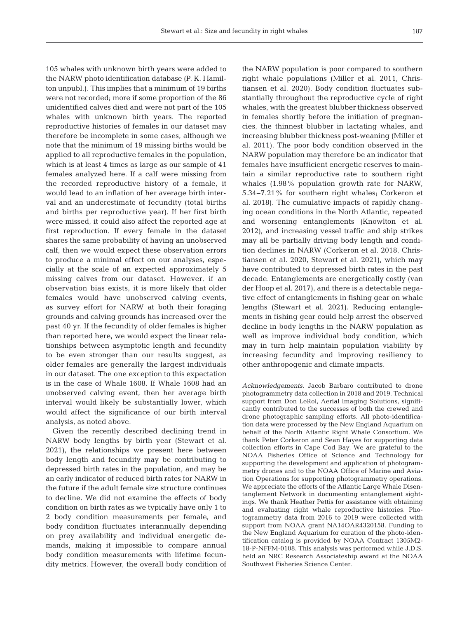105 whales with unknown birth years were added to the NARW photo identification database (P. K. Hamilton unpubl.). This implies that a minimum of 19 births were not recorded; more if some proportion of the 86 unidentified calves died and were not part of the 105 whales with unknown birth years. The reported reproductive histories of females in our dataset may therefore be incomplete in some cases, although we note that the minimum of 19 missing births would be applied to all reproductive females in the population, which is at least 4 times as large as our sample of 41 females analyzed here. If a calf were missing from the recorded reproductive history of a female, it would lead to an inflation of her average birth interval and an underestimate of fecundity (total births and births per reproductive year). If her first birth were missed, it could also affect the reported age at first reproduction. If every female in the dataset shares the same probability of having an unobserved calf, then we would expect these observation errors to produce a minimal effect on our analyses, especially at the scale of an expected approximately 5 missing calves from our dataset. However, if an observation bias exists, it is more likely that older females would have unobserved calving events, as survey effort for NARW at both their foraging grounds and calving grounds has increased over the past 40 yr. If the fecundity of older females is higher than reported here, we would expect the linear relationships between asymptotic length and fecundity to be even stronger than our results suggest, as older females are generally the largest individuals in our dataset. The one exception to this expectation is in the case of Whale 1608. If Whale 1608 had an unobserved calving event, then her average birth interval would likely be substantially lower, which would affect the significance of our birth interval analysis, as noted above.

Given the recently described declining trend in NARW body lengths by birth year (Stewart et al. 2021), the relationships we present here between body length and fecundity may be contributing to depressed birth rates in the population, and may be an early indicator of reduced birth rates for NARW in the future if the adult female size structure continues to decline. We did not examine the effects of body condition on birth rates as we typically have only 1 to 2 body condition measurements per female, and body condition fluctuates interannually depending on prey availability and individual energetic de mands, making it impossible to compare annual body condition measurements with lifetime fecundity metrics. However, the overall body condition of the NARW population is poor compared to southern right whale populations (Miller et al. 2011, Christiansen et al. 2020). Body condition fluctuates substantially throughout the reproductive cycle of right whales, with the greatest blubber thickness observed in females shortly before the initiation of pregnancies, the thinnest blubber in lactating whales, and increasing blubber thickness post-weaning (Miller et al. 2011). The poor body condition observed in the NARW population may therefore be an indicator that females have insufficient energetic reserves to maintain a similar reproductive rate to southern right whales (1.98% population growth rate for NARW, 5.34−7.21% for southern right whales; Corkeron et al. 2018). The cumulative impacts of rapidly changing ocean conditions in the North Atlantic, repeated and worsening entanglements (Knowlton et al. 2012), and increasing vessel traffic and ship strikes may all be partially driving body length and condition declines in NARW (Corkeron et al. 2018, Christiansen et al. 2020, Stewart et al. 2021), which may have contributed to depressed birth rates in the past decade. Entanglements are energetically costly (van der Hoop et al. 2017), and there is a detectable negative effect of entanglements in fishing gear on whale lengths (Stewart et al. 2021). Reducing entanglements in fishing gear could help arrest the observed decline in body lengths in the NARW population as well as improve individual body condition, which may in turn help maintain population viability by increasing fecundity and improving resiliency to other anthropogenic and climate impacts.

*Acknowledgements*. Jacob Barbaro contributed to drone photogrammetry data collection in 2018 and 2019. Technical support from Don LeRoi, Aerial Imaging Solutions, significantly contributed to the successes of both the crewed and drone photographic sampling efforts. All photo-identification data were processed by the New England Aquarium on behalf of the North Atlantic Right Whale Consortium. We thank Peter Corkeron and Sean Hayes for supporting data collection efforts in Cape Cod Bay. We are grateful to the NOAA Fisheries Office of Science and Technology for supporting the development and application of photogrammetry drones and to the NOAA Office of Marine and Aviation Operations for supporting photogrammetry operations. We appreciate the efforts of the Atlantic Large Whale Disentanglement Network in documenting entanglement sightings. We thank Heather Pettis for assistance with obtaining and evaluating right whale reproductive histories. Photogrammetry data from 2016 to 2019 were collected with support from NOAA grant NA14OAR4320158. Funding to the New England Aquarium for curation of the photo-identification catalog is provided by NOAA Contract 1305M2- 18-P-NFFM-0108. This analysis was performed while J.D.S. held an NRC Research Associateship award at the NOAA Southwest Fisheries Science Center.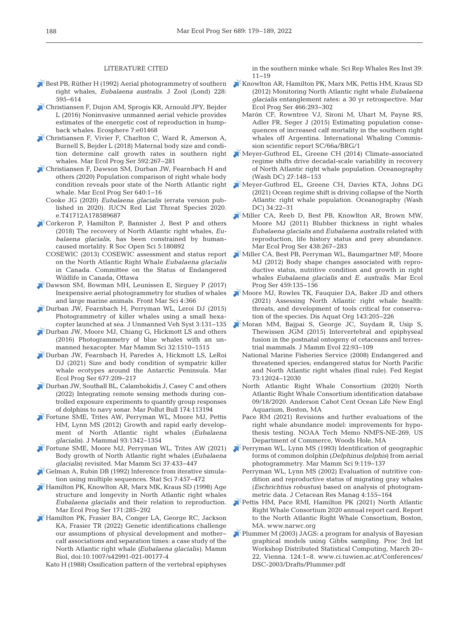#### LITERATURE CITED

- Best PB, Rüther H (1992) Aerial photogrammetry of southern right whales, *Eubalaena australis*. J Zool (Lond) 228: 595−614
- [Christiansen F, Dujon AM, Sprogis KR, Arnould JPY, Bejder](https://doi.org/10.1002/ecs2.1468)  L (2016) Noninvasive unmanned aerial vehicle provides estimates of the energetic cost of reproduction in humpback whales. Ecosphere 7:e01468
- [Christiansen F, Vivier F, Charlton C, Ward R, Amerson A,](https://doi.org/10.3354/meps12522)  Burnell S, Bejder L (2018) Maternal body size and condition determine calf growth rates in southern right whales. Mar Ecol Prog Ser 592:267-281
- [Christiansen F, Dawson SM, Durban JW, Fearnbach H and](https://doi.org/10.3354/meps13299)  others (2020) Population comparison of right whale body condition reveals poor state of the North Atlantic right whale. Mar Ecol Prog Ser 640:1-16
	- Cooke JG (2020) *Eubalaena glacialis* (errata version published in 2020). IUCN Red List Threat Species 2020. e.T41712A178589687
- [Corkeron P, Hamilton P, Bannister J, Best P and others](https://doi.org/10.1098/rsos.180892)  (2018) The recovery of North Atlantic right whales, *Eu balaena glacialis*, has been constrained by humancaused mortality. R Soc Open Sci 5: 180892
	- COSEWIC (2013) COSEWIC assessment and status report on the North Atlantic Right Whale *Eubalaena glacialis* in Canada. Committee on the Status of Endangered Wildlife in Canada, Ottawa
- [Dawson SM, Bowman MH, Leunissen E, Sirguey P \(2017\)](https://doi.org/10.3389/fmars.2017.00366)  Inexpensive aerial photogrammetry for studies of whales and large marine animals. Front Mar Sci 4: 366
- [Durban JW, Fearnbach H, Perryman WL, Leroi DJ \(2015\)](https://doi.org/10.1139/juvs-2015-0020)  Photogrammetry of killer whales using a small hexacopter launched at sea. J Unmanned Veh Syst 3: 131−135
- [Durban JW, Moore MJ, Chiang G, Hickmott LS and others](https://doi.org/10.1111/mms.12328)  (2016) Photogrammetry of blue whales with an unmanned hexacopter. Mar Mamm Sci 32: 1510−1515
- [Durban JW, Fearnbach H, Paredes A, Hickmott LS, LeRoi](https://doi.org/10.3354/meps13866)  DJ (2021) Size and body condition of sympatric killer whale ecotypes around the Antarctic Peninsula. Mar Ecol Prog Ser 677: 209−217
- [Durban JW, Southall BL, Calambokidis J, Casey C and others](https://doi.org/10.1016/j.marpolbul.2021.113194)  (2022) Integrating remote sensing methods during controlled exposure experiments to quantify group responses of dolphins to navy sonar. Mar Pollut Bull 174: 113194
- [Fortune SME, Trites AW, Perryman WL, Moore MJ, Pettis](https://doi.org/10.1644/11-MAMM-A-297.1)  HM, Lynn MS (2012) Growth and rapid early development of North Atlantic right whales (*Eubalaena glacialis*). J Mammal 93: 1342−1354
- [Fortune SME, Moore MJ, Perryman WL, Trites AW \(2021\)](https://doi.org/10.1111/mms.12753)  Body growth of North Atlantic right whales (*Eubalaena glacialis*) revisited. Mar Mamm Sci 37: 433−447
- [Gelman A, Rubin DB \(1992\) Inference from iterative simula](https://doi.org/10.1214/ss/1177011136)tion using multiple sequences. Stat Sci 7: 457−472
- [Hamilton PK, Knowlton AR, Marx MK, Kraus SD \(1998\) Age](https://doi.org/10.3354/meps171285)  structure and longevity in North Atlantic right whales *Eubalaena glacialis* and their relation to reproduction. Mar Ecol Prog Ser 171:285-292
- [Hamilton PK, Frasier BA, Conger LA, George RC, Jackson](https://doi.org/10.1007/s42991-021-00177-4)  KA, Frasier TR (2022) Genetic identifications challenge our assumptions of physical development and mother− calf associations and separation times: a case study of the North Atlantic right whale *(Eubalaena glacialis)*. Mamm Biol, doi:10.1007/s42991-021-00177-4

Kato H (1988) Ossification pattern of the vertebral epiphyses

in the southern minke whale. Sci Rep Whales Res Inst 39: 11−19

- [Knowlton AR, Hamilton PK, Marx MK, Pettis HM, Kraus SD](https://doi.org/10.3354/meps09923)  (2012) Monitoring North Atlantic right whale *Eubalaena glacialis* entanglement rates:a 30 yr retrospective. Mar Ecol Prog Ser 466: 293−302
	- Marón CF, Rowntree VJ, Sironi M, Uhart M, Payne RS, Adler FR, Seger J (2015) Estimating population consequences of increased calf mortality in the southern right whales off Argentina. International Whaling Commission scientific report SC/66a/BRG/1
- [Meyer-Gutbrod EL, Greene CH \(2014\) Climate-associated](https://doi.org/10.5670/oceanog.2014.64)  regime shifts drive decadal-scale variability in recovery of North Atlantic right whale population. Oceanography (Wash DC) 27: 148−153
- [Meyer-Gutbrod EL, Greene CH, Davies KTA, Johns DG](https://doi.org/10.5670/oceanog.2021.308)  (2021) Ocean regime shift is driving collapse of the North Atlantic right whale population. Oceanography (Wash DC) 34:22−31
- [Miller CA, Reeb D, Best PB, Knowlton AR, Brown MW,](https://doi.org/10.3354/meps09174)  Moore MJ (2011) Blubber thickness in right whales *Eubalaena glacialis* and *Eubalaena australis* related with reproduction, life history status and prey abundance. Mar Ecol Prog Ser 438:267-283
- [Miller CA, Best PB, Perryman WL, Baumgartner MF, Moore](https://doi.org/10.3354/meps09675)  MJ (2012) Body shape changes associated with reproductive status, nutritive condition and growth in right whales *Eubalaena glacialis* and *E. australis*. Mar Ecol Prog Ser 459: 135−156
- [Moore MJ, Rowles TK, Fauquier DA, Baker JD and others](https://doi.org/10.3354/dao03578)  (2021) Assessing North Atlantic right whale health: threats, and development of tools critical for conservation of the species. Dis Aquat Org 143:205−226
- [Moran MM, Bajpai S, George JC, Suydam R, Usip S,](https://doi.org/10.1007/s10914-014-9256-7)  Thewissen JGM (2015) Intervertebral and epiphyseal fusion in the postnatal ontogeny of cetaceans and terrestrial mammals. J Mamm Evol 22:93-109
	- National Marine Fisheries Service (2008) Endangered and threatened species; endangered status for North Pacific and North Atlantic right whales (final rule). Fed Regist 73: 12024−12030
	- North Atlantic Right Whale Consortium (2020) North Atlantic Right Whale Consortium identification database 09/18/2020. Anderson Cabot Cent Ocean Life New Engl Aquarium, Boston, MA
	- Pace RM (2021) Revisions and further evaluations of the right whale abundance model: improvements for hypothesis testing. NOAA Tech Memo NMFS-NE-269, US Department of Commerce, Woods Hole, MA
- [Perryman WL, Lynn MS \(1993\) Identification of geographic](https://doi.org/10.1111/j.1748-7692.1993.tb00438.x)  forms of common dolphin (*Delphinus delphis*) from aerial photogrammetry. Mar Mamm Sci 9: 119−137
	- Perryman WL, Lynn MS (2002) Evaluation of nutritive condition and reproductive status of migrating gray whales (*Eschrichtius robustus*) based on analysis of photogrammetric data. J Cetacean Res Manag 4: 155−164
- [Pettis HM, Pace RMI, Hamilton PK \(2021\) North Atlantic](http://www.narwc.org/)  Right Whale Consortium 2020 annual report card. Report to the North Atlantic Right Whale Consortium, Boston, MA. www.narwc.org
- Plummer M (2003) JAGS: a program for analysis of Bayesian graphical models using Gibbs sampling. Proc 3rd Int Workshop Distributed Statistical Computing, March 20− 22, Vienna. 124:1-8. www.ci.tuwien.ac.at/Conferences/ DSC-2003/Drafts/Plummer.pdf